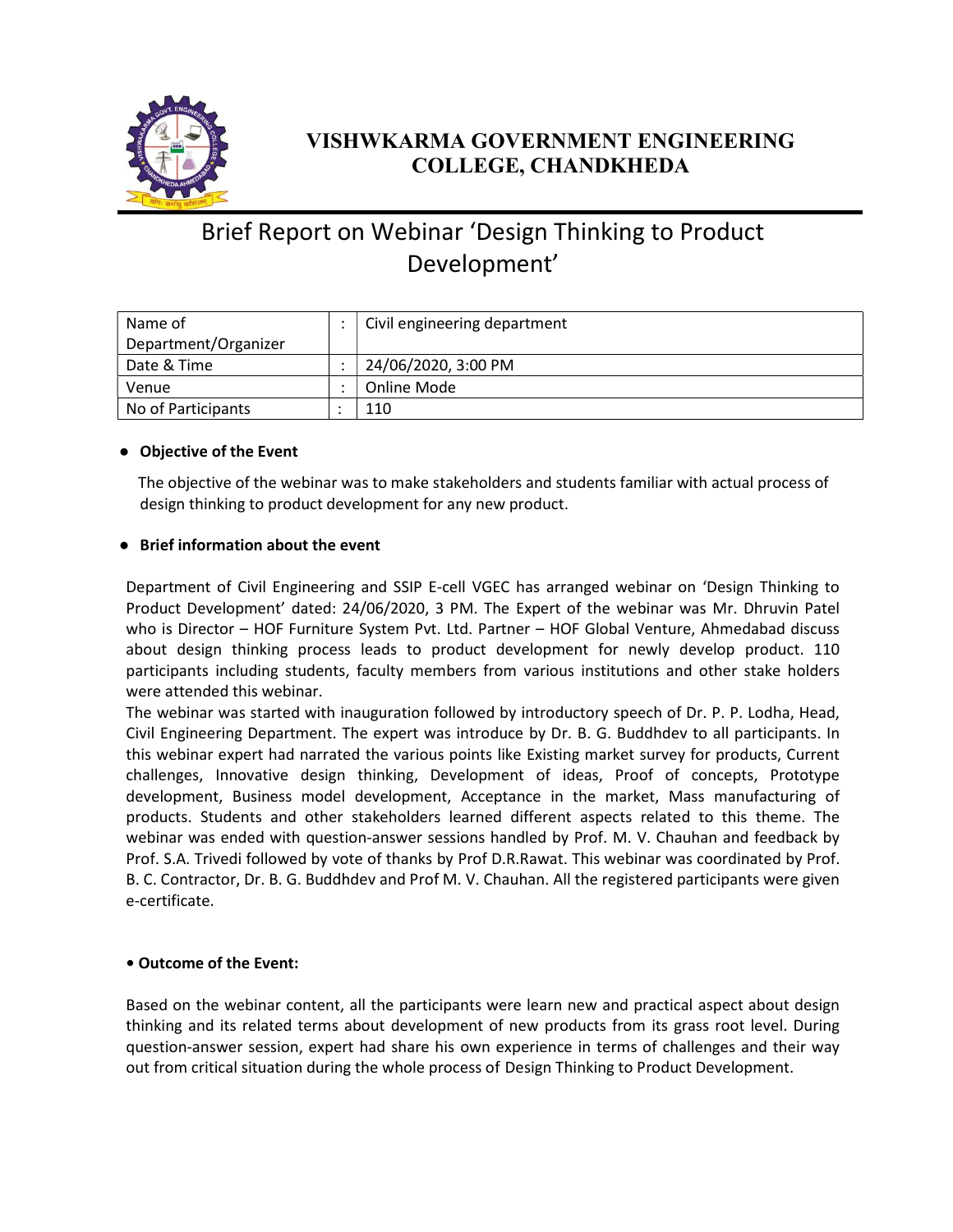

### VISHWKARMA GOVERNMENT ENGINEERING COLLEGE, CHANDKHEDA

## Brief Report on Webinar 'Design Thinking to Product Development'

| Name of              | Civil engineering department |
|----------------------|------------------------------|
| Department/Organizer |                              |
| Date & Time          | 24/06/2020, 3:00 PM          |
| Venue                | Online Mode                  |
| No of Participants   | 110                          |

#### ● Objective of the Event

 The objective of the webinar was to make stakeholders and students familiar with actual process of design thinking to product development for any new product.

#### ● Brief information about the event

Department of Civil Engineering and SSIP E-cell VGEC has arranged webinar on 'Design Thinking to Product Development' dated: 24/06/2020, 3 PM. The Expert of the webinar was Mr. Dhruvin Patel who is Director – HOF Furniture System Pvt. Ltd. Partner – HOF Global Venture, Ahmedabad discuss about design thinking process leads to product development for newly develop product. 110 participants including students, faculty members from various institutions and other stake holders were attended this webinar.

The webinar was started with inauguration followed by introductory speech of Dr. P. P. Lodha, Head, Civil Engineering Department. The expert was introduce by Dr. B. G. Buddhdev to all participants. In this webinar expert had narrated the various points like Existing market survey for products, Current challenges, Innovative design thinking, Development of ideas, Proof of concepts, Prototype development, Business model development, Acceptance in the market, Mass manufacturing of products. Students and other stakeholders learned different aspects related to this theme. The webinar was ended with question-answer sessions handled by Prof. M. V. Chauhan and feedback by Prof. S.A. Trivedi followed by vote of thanks by Prof D.R.Rawat. This webinar was coordinated by Prof. B. C. Contractor, Dr. B. G. Buddhdev and Prof M. V. Chauhan. All the registered participants were given e-certificate.

#### • Outcome of the Event:

Based on the webinar content, all the participants were learn new and practical aspect about design thinking and its related terms about development of new products from its grass root level. During question-answer session, expert had share his own experience in terms of challenges and their way out from critical situation during the whole process of Design Thinking to Product Development.